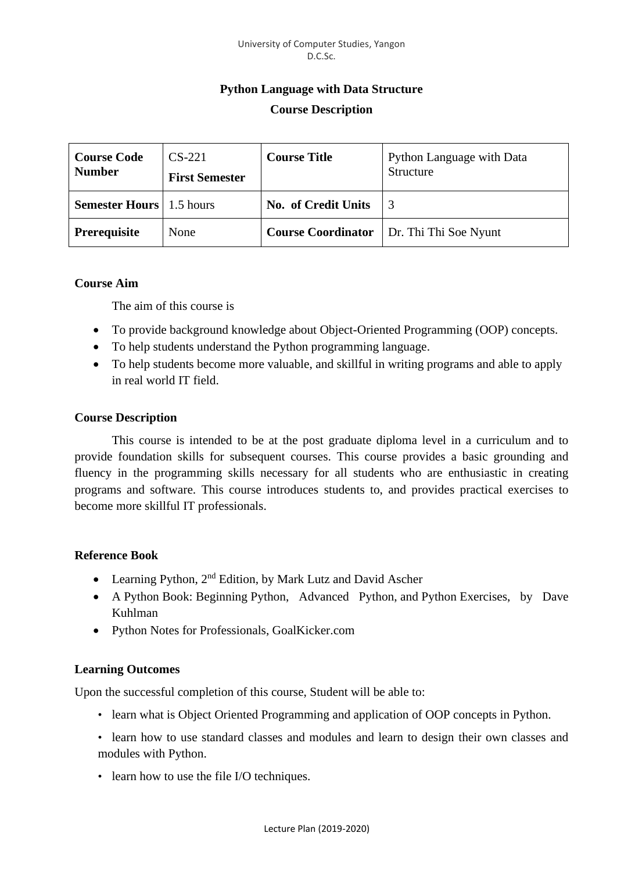# **Python Language with Data Structure Course Description**

| <b>Course Code</b><br><b>Number</b> | $CS-221$<br><b>First Semester</b> | <b>Course Title</b>        | <b>Python Language with Data</b><br>Structure     |
|-------------------------------------|-----------------------------------|----------------------------|---------------------------------------------------|
| <b>Semester Hours</b>   1.5 hours   |                                   | <b>No. of Credit Units</b> |                                                   |
| Prerequisite                        | None                              |                            | <b>Course Coordinator</b>   Dr. Thi Thi Soe Nyunt |

## **Course Aim**

The aim of this course is

- To provide background knowledge about Object-Oriented Programming (OOP) concepts.
- To help students understand the Python programming language.
- To help students become more valuable, and skillful in writing programs and able to apply in real world IT field.

## **Course Description**

This course is intended to be at the post graduate diploma level in a curriculum and to provide foundation skills for subsequent courses. This course provides a basic grounding and fluency in the programming skills necessary for all students who are enthusiastic in creating programs and software. This course introduces students to, and provides practical exercises to become more skillful IT professionals.

## **Reference Book**

- Learning Python, 2<sup>nd</sup> Edition, by Mark Lutz and David Ascher
- A Python Book: Beginning Python, Advanced Python, and Python Exercises, by Dave Kuhlman
- Python Notes for Professionals, GoalKicker.com

# **Learning Outcomes**

Upon the successful completion of this course, Student will be able to:

- learn what is Object Oriented Programming and application of OOP concepts in Python.
- learn how to use standard classes and modules and learn to design their own classes and modules with Python.
- learn how to use the file I/O techniques.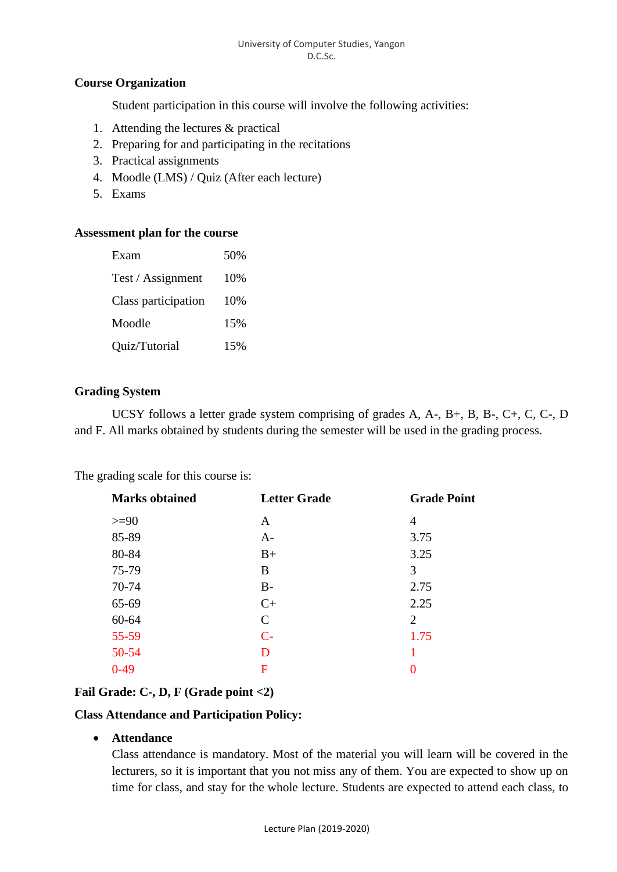#### University of Computer Studies, Yangon D.C.Sc.

# **Course Organization**

Student participation in this course will involve the following activities:

- 1. Attending the lectures & practical
- 2. Preparing for and participating in the recitations
- 3. Practical assignments
- 4. Moodle (LMS) / Quiz (After each lecture)
- 5. Exams

## **Assessment plan for the course**

| Exam                | 50% |
|---------------------|-----|
| Test / Assignment   | 10% |
| Class participation | 10% |
| Moodle              | 15% |
| Quiz/Tutorial       | 15% |

## **Grading System**

UCSY follows a letter grade system comprising of grades A, A-, B+, B, B-, C+, C, C-, D and F. All marks obtained by students during the semester will be used in the grading process.

The grading scale for this course is:

| <b>Marks obtained</b> | <b>Letter Grade</b> | <b>Grade Point</b> |
|-----------------------|---------------------|--------------------|
| $>=$ 90               | A                   | 4                  |
| 85-89                 | $A-$                | 3.75               |
| 80-84                 | $B+$                | 3.25               |
| 75-79                 | B                   | 3                  |
| 70-74                 | $B -$               | 2.75               |
| 65-69                 | $C+$                | 2.25               |
| 60-64                 | $\mathcal{C}$       | 2                  |
| $55 - 59$             | $C-$                | 1.75               |
| 50-54                 | D                   | 1                  |
| $0-49$                | F                   | 0                  |
|                       |                     |                    |

# **Fail Grade: C-, D, F (Grade point <2)**

## **Class Attendance and Participation Policy:**

• **Attendance**

Class attendance is mandatory. Most of the material you will learn will be covered in the lecturers, so it is important that you not miss any of them. You are expected to show up on time for class, and stay for the whole lecture. Students are expected to attend each class, to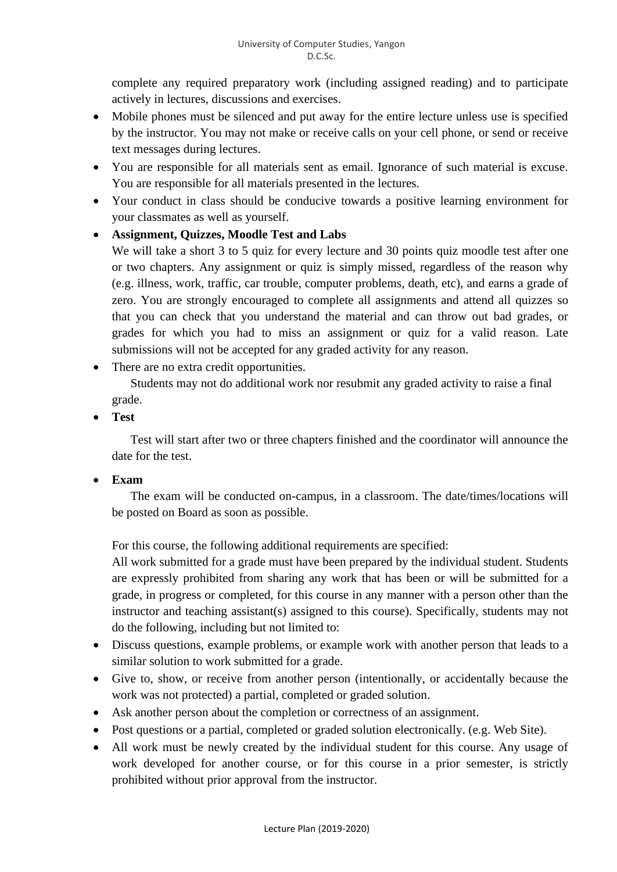complete any required preparatory work (including assigned reading) and to participate actively in lectures, discussions and exercises.

- Mobile phones must be silenced and put away for the entire lecture unless use is specified by the instructor. You may not make or receive calls on your cell phone, or send or receive text messages during lectures.
- You are responsible for all materials sent as email. Ignorance of such material is excuse. You are responsible for all materials presented in the lectures.
- Your conduct in class should be conducive towards a positive learning environment for your classmates as well as yourself.

# • **Assignment, Quizzes, Moodle Test and Labs**

We will take a short 3 to 5 quiz for every lecture and 30 points quiz moodle test after one or two chapters. Any assignment or quiz is simply missed, regardless of the reason why (e.g. illness, work, traffic, car trouble, computer problems, death, etc), and earns a grade of zero. You are strongly encouraged to complete all assignments and attend all quizzes so that you can check that you understand the material and can throw out bad grades, or grades for which you had to miss an assignment or quiz for a valid reason. Late submissions will not be accepted for any graded activity for any reason.

• There are no extra credit opportunities.

Students may not do additional work nor resubmit any graded activity to raise a final grade.

• **Test**

Test will start after two or three chapters finished and the coordinator will announce the date for the test.

# • **Exam**

The exam will be conducted on-campus, in a classroom. The date/times/locations will be posted on Board as soon as possible.

For this course, the following additional requirements are specified:

All work submitted for a grade must have been prepared by the individual student. Students are expressly prohibited from sharing any work that has been or will be submitted for a grade, in progress or completed, for this course in any manner with a person other than the instructor and teaching assistant(s) assigned to this course). Specifically, students may not do the following, including but not limited to:

- Discuss questions, example problems, or example work with another person that leads to a similar solution to work submitted for a grade.
- Give to, show, or receive from another person (intentionally, or accidentally because the work was not protected) a partial, completed or graded solution.
- Ask another person about the completion or correctness of an assignment.
- Post questions or a partial, completed or graded solution electronically. (e.g. Web Site).
- All work must be newly created by the individual student for this course. Any usage of work developed for another course, or for this course in a prior semester, is strictly prohibited without prior approval from the instructor.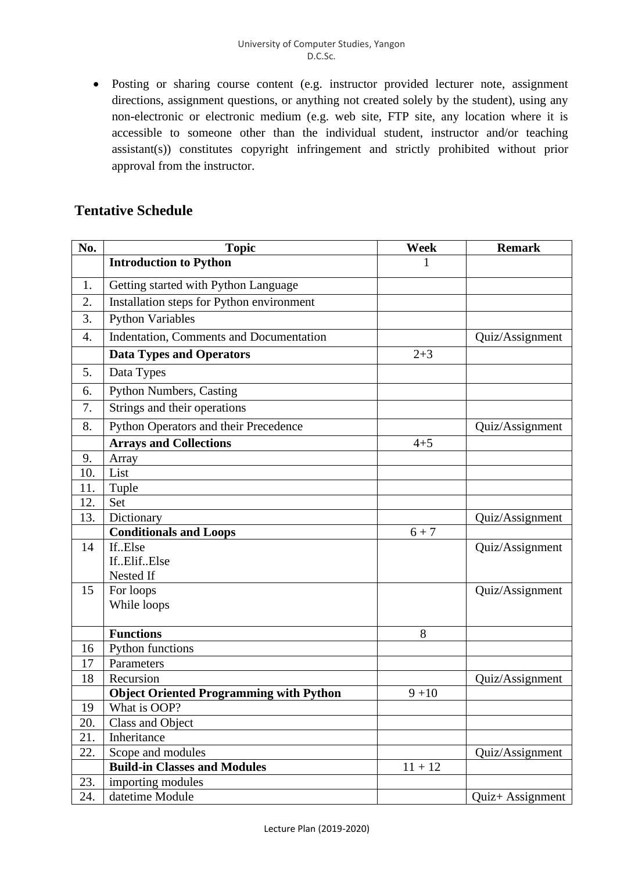• Posting or sharing course content (e.g. instructor provided lecturer note, assignment directions, assignment questions, or anything not created solely by the student), using any non-electronic or electronic medium (e.g. web site, FTP site, any location where it is accessible to someone other than the individual student, instructor and/or teaching assistant(s)) constitutes copyright infringement and strictly prohibited without prior approval from the instructor.

# **Tentative Schedule**

| No. | <b>Topic</b>                                   | <b>Week</b> | <b>Remark</b>    |
|-----|------------------------------------------------|-------------|------------------|
|     | <b>Introduction to Python</b>                  |             |                  |
| 1.  | Getting started with Python Language           |             |                  |
| 2.  | Installation steps for Python environment      |             |                  |
| 3.  | <b>Python Variables</b>                        |             |                  |
| 4.  | Indentation, Comments and Documentation        |             | Quiz/Assignment  |
|     | <b>Data Types and Operators</b>                | $2 + 3$     |                  |
| 5.  | Data Types                                     |             |                  |
| 6.  | <b>Python Numbers, Casting</b>                 |             |                  |
| 7.  | Strings and their operations                   |             |                  |
| 8.  | Python Operators and their Precedence          |             | Quiz/Assignment  |
|     | <b>Arrays and Collections</b>                  | $4 + 5$     |                  |
| 9.  | Array                                          |             |                  |
| 10. | List                                           |             |                  |
| 11. | Tuple                                          |             |                  |
| 12. | Set                                            |             |                  |
| 13. | Dictionary                                     |             | Quiz/Assignment  |
|     | <b>Conditionals and Loops</b>                  | $6 + 7$     |                  |
| 14  | IfElse                                         |             | Quiz/Assignment  |
|     | IfElifElse                                     |             |                  |
|     | Nested If                                      |             |                  |
| 15  | For loops                                      |             | Quiz/Assignment  |
|     | While loops                                    |             |                  |
|     | <b>Functions</b>                               | 8           |                  |
| 16  | Python functions                               |             |                  |
| 17  | Parameters                                     |             |                  |
| 18  | Recursion                                      |             | Quiz/Assignment  |
|     | <b>Object Oriented Programming with Python</b> | $9 + 10$    |                  |
| 19  | What is OOP?                                   |             |                  |
| 20. | Class and Object                               |             |                  |
| 21. | Inheritance                                    |             |                  |
| 22. | Scope and modules                              |             | Quiz/Assignment  |
|     | <b>Build-in Classes and Modules</b>            | $11 + 12$   |                  |
| 23. | importing modules                              |             |                  |
| 24. | datetime Module                                |             | Quiz+ Assignment |